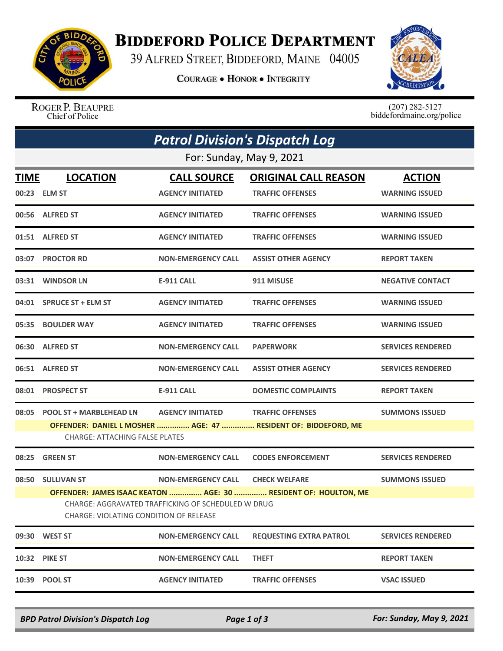

## **BIDDEFORD POLICE DEPARTMENT**

39 ALFRED STREET, BIDDEFORD, MAINE 04005

**COURAGE . HONOR . INTEGRITY** 



ROGER P. BEAUPRE Chief of Police

 $(207)$  282-5127<br>biddefordmaine.org/police

|                                                                                              | <b>Patrol Division's Dispatch Log</b>                                                                   |                           |                                                                 |                          |  |  |  |
|----------------------------------------------------------------------------------------------|---------------------------------------------------------------------------------------------------------|---------------------------|-----------------------------------------------------------------|--------------------------|--|--|--|
| For: Sunday, May 9, 2021                                                                     |                                                                                                         |                           |                                                                 |                          |  |  |  |
| <b>TIME</b>                                                                                  | <b>LOCATION</b>                                                                                         | <b>CALL SOURCE</b>        | <b>ORIGINAL CALL REASON</b>                                     | <b>ACTION</b>            |  |  |  |
|                                                                                              | 00:23 ELM ST                                                                                            | <b>AGENCY INITIATED</b>   | <b>TRAFFIC OFFENSES</b>                                         | <b>WARNING ISSUED</b>    |  |  |  |
|                                                                                              | 00:56 ALFRED ST                                                                                         | <b>AGENCY INITIATED</b>   | <b>TRAFFIC OFFENSES</b>                                         | <b>WARNING ISSUED</b>    |  |  |  |
|                                                                                              | 01:51 ALFRED ST                                                                                         | <b>AGENCY INITIATED</b>   | <b>TRAFFIC OFFENSES</b>                                         | <b>WARNING ISSUED</b>    |  |  |  |
|                                                                                              | 03:07 PROCTOR RD                                                                                        | <b>NON-EMERGENCY CALL</b> | <b>ASSIST OTHER AGENCY</b>                                      | <b>REPORT TAKEN</b>      |  |  |  |
|                                                                                              | 03:31 WINDSOR LN                                                                                        | E-911 CALL                | 911 MISUSE                                                      | <b>NEGATIVE CONTACT</b>  |  |  |  |
|                                                                                              | 04:01 SPRUCE ST + ELM ST                                                                                | <b>AGENCY INITIATED</b>   | <b>TRAFFIC OFFENSES</b>                                         | <b>WARNING ISSUED</b>    |  |  |  |
|                                                                                              | 05:35 BOULDER WAY                                                                                       | <b>AGENCY INITIATED</b>   | <b>TRAFFIC OFFENSES</b>                                         | <b>WARNING ISSUED</b>    |  |  |  |
|                                                                                              | 06:30 ALFRED ST                                                                                         | <b>NON-EMERGENCY CALL</b> | <b>PAPERWORK</b>                                                | <b>SERVICES RENDERED</b> |  |  |  |
|                                                                                              | 06:51 ALFRED ST                                                                                         | <b>NON-EMERGENCY CALL</b> | <b>ASSIST OTHER AGENCY</b>                                      | <b>SERVICES RENDERED</b> |  |  |  |
|                                                                                              | 08:01 PROSPECT ST                                                                                       | <b>E-911 CALL</b>         | <b>DOMESTIC COMPLAINTS</b>                                      | <b>REPORT TAKEN</b>      |  |  |  |
| 08:05                                                                                        | <b>POOL ST + MARBLEHEAD LN</b>                                                                          | <b>AGENCY INITIATED</b>   | <b>TRAFFIC OFFENSES</b>                                         | <b>SUMMONS ISSUED</b>    |  |  |  |
|                                                                                              | OFFENDER: DANIEL L MOSHER  AGE: 47  RESIDENT OF: BIDDEFORD, ME<br><b>CHARGE: ATTACHING FALSE PLATES</b> |                           |                                                                 |                          |  |  |  |
| 08:25                                                                                        | <b>GREEN ST</b>                                                                                         | <b>NON-EMERGENCY CALL</b> | <b>CODES ENFORCEMENT</b>                                        | <b>SERVICES RENDERED</b> |  |  |  |
|                                                                                              | 08:50 SULLIVAN ST                                                                                       | <b>NON-EMERGENCY CALL</b> | <b>CHECK WELFARE</b>                                            | <b>SUMMONS ISSUED</b>    |  |  |  |
|                                                                                              |                                                                                                         |                           | OFFENDER: JAMES ISAAC KEATON  AGE: 30  RESIDENT OF: HOULTON, ME |                          |  |  |  |
| CHARGE: AGGRAVATED TRAFFICKING OF SCHEDULED W DRUG<br>CHARGE: VIOLATING CONDITION OF RELEASE |                                                                                                         |                           |                                                                 |                          |  |  |  |
|                                                                                              | 09:30 WEST ST                                                                                           | <b>NON-EMERGENCY CALL</b> | <b>REQUESTING EXTRA PATROL</b>                                  | <b>SERVICES RENDERED</b> |  |  |  |
| 10:32                                                                                        | <b>PIKE ST</b>                                                                                          | <b>NON-EMERGENCY CALL</b> | <b>THEFT</b>                                                    | <b>REPORT TAKEN</b>      |  |  |  |
| 10:39                                                                                        | <b>POOL ST</b>                                                                                          | <b>AGENCY INITIATED</b>   | <b>TRAFFIC OFFENSES</b>                                         | <b>VSAC ISSUED</b>       |  |  |  |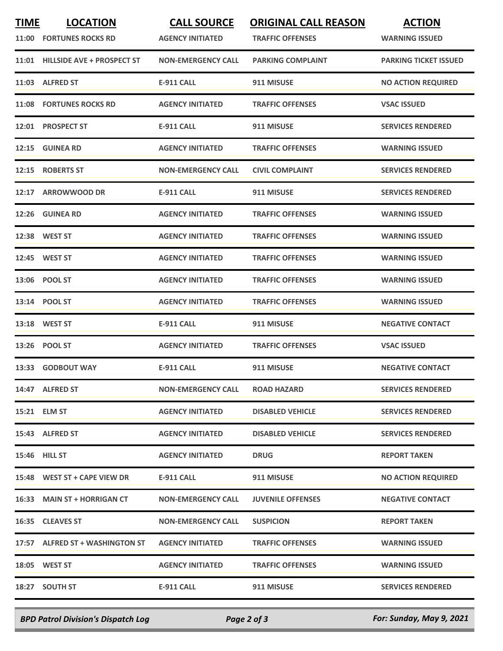| <b>TIME</b><br>11:00 | <b>LOCATION</b><br><b>FORTUNES ROCKS RD</b> | <b>CALL SOURCE</b><br><b>AGENCY INITIATED</b> | <b>ORIGINAL CALL REASON</b><br><b>TRAFFIC OFFENSES</b> | <b>ACTION</b><br><b>WARNING ISSUED</b> |
|----------------------|---------------------------------------------|-----------------------------------------------|--------------------------------------------------------|----------------------------------------|
| 11:01                | <b>HILLSIDE AVE + PROSPECT ST</b>           | <b>NON-EMERGENCY CALL</b>                     | <b>PARKING COMPLAINT</b>                               | <b>PARKING TICKET ISSUED</b>           |
|                      | 11:03 ALFRED ST                             | <b>E-911 CALL</b>                             | 911 MISUSE                                             | <b>NO ACTION REQUIRED</b>              |
| 11:08                | <b>FORTUNES ROCKS RD</b>                    | <b>AGENCY INITIATED</b>                       | <b>TRAFFIC OFFENSES</b>                                | <b>VSAC ISSUED</b>                     |
| 12:01                | <b>PROSPECT ST</b>                          | E-911 CALL                                    | 911 MISUSE                                             | <b>SERVICES RENDERED</b>               |
|                      | 12:15 GUINEA RD                             | <b>AGENCY INITIATED</b>                       | <b>TRAFFIC OFFENSES</b>                                | <b>WARNING ISSUED</b>                  |
| 12:15                | <b>ROBERTS ST</b>                           | <b>NON-EMERGENCY CALL</b>                     | <b>CIVIL COMPLAINT</b>                                 | <b>SERVICES RENDERED</b>               |
|                      | 12:17 ARROWWOOD DR                          | <b>E-911 CALL</b>                             | 911 MISUSE                                             | <b>SERVICES RENDERED</b>               |
| 12:26                | <b>GUINEA RD</b>                            | <b>AGENCY INITIATED</b>                       | <b>TRAFFIC OFFENSES</b>                                | <b>WARNING ISSUED</b>                  |
|                      | 12:38 WEST ST                               | <b>AGENCY INITIATED</b>                       | <b>TRAFFIC OFFENSES</b>                                | <b>WARNING ISSUED</b>                  |
|                      | 12:45 WEST ST                               | <b>AGENCY INITIATED</b>                       | <b>TRAFFIC OFFENSES</b>                                | <b>WARNING ISSUED</b>                  |
| 13:06                | <b>POOL ST</b>                              | <b>AGENCY INITIATED</b>                       | <b>TRAFFIC OFFENSES</b>                                | <b>WARNING ISSUED</b>                  |
|                      | 13:14 POOL ST                               | <b>AGENCY INITIATED</b>                       | <b>TRAFFIC OFFENSES</b>                                | <b>WARNING ISSUED</b>                  |
|                      | 13:18 WEST ST                               | <b>E-911 CALL</b>                             | 911 MISUSE                                             | <b>NEGATIVE CONTACT</b>                |
| 13:26                | <b>POOL ST</b>                              | <b>AGENCY INITIATED</b>                       | <b>TRAFFIC OFFENSES</b>                                | <b>VSAC ISSUED</b>                     |
| 13:33                | <b>GODBOUT WAY</b>                          | <b>E-911 CALL</b>                             | 911 MISUSE                                             | <b>NEGATIVE CONTACT</b>                |
|                      | 14:47 ALFRED ST                             | <b>NON-EMERGENCY CALL</b>                     | <b>ROAD HAZARD</b>                                     | <b>SERVICES RENDERED</b>               |
|                      | 15:21 ELM ST                                | <b>AGENCY INITIATED</b>                       | <b>DISABLED VEHICLE</b>                                | <b>SERVICES RENDERED</b>               |
|                      | 15:43 ALFRED ST                             | <b>AGENCY INITIATED</b>                       | <b>DISABLED VEHICLE</b>                                | <b>SERVICES RENDERED</b>               |
|                      | <b>15:46 HILL ST</b>                        | <b>AGENCY INITIATED</b>                       | <b>DRUG</b>                                            | <b>REPORT TAKEN</b>                    |
|                      | 15:48 WEST ST + CAPE VIEW DR                | <b>E-911 CALL</b>                             | 911 MISUSE                                             | <b>NO ACTION REQUIRED</b>              |
|                      | 16:33 MAIN ST + HORRIGAN CT                 | <b>NON-EMERGENCY CALL</b>                     | <b>JUVENILE OFFENSES</b>                               | <b>NEGATIVE CONTACT</b>                |
|                      | 16:35 CLEAVES ST                            | <b>NON-EMERGENCY CALL</b>                     | <b>SUSPICION</b>                                       | <b>REPORT TAKEN</b>                    |
|                      | 17:57 ALFRED ST + WASHINGTON ST             | <b>AGENCY INITIATED</b>                       | <b>TRAFFIC OFFENSES</b>                                | <b>WARNING ISSUED</b>                  |
|                      | <b>18:05 WEST ST</b>                        | <b>AGENCY INITIATED</b>                       | <b>TRAFFIC OFFENSES</b>                                | <b>WARNING ISSUED</b>                  |
|                      | 18:27 SOUTH ST                              | E-911 CALL                                    | 911 MISUSE                                             | <b>SERVICES RENDERED</b>               |
|                      |                                             |                                               |                                                        |                                        |

*BPD Patrol Division's Dispatch Log Page 2 of 3 For: Sunday, May 9, 2021*